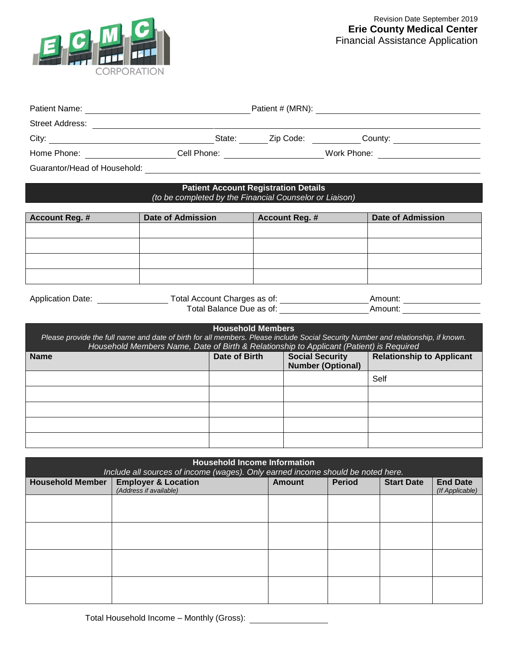

|                                                                                         |                                                                                         |                                             |  |                                                         |  | Patient # (MRN):                                                                                                                  |  |
|-----------------------------------------------------------------------------------------|-----------------------------------------------------------------------------------------|---------------------------------------------|--|---------------------------------------------------------|--|-----------------------------------------------------------------------------------------------------------------------------------|--|
|                                                                                         |                                                                                         |                                             |  |                                                         |  |                                                                                                                                   |  |
|                                                                                         |                                                                                         |                                             |  |                                                         |  |                                                                                                                                   |  |
|                                                                                         |                                                                                         |                                             |  |                                                         |  | Home Phone: _____________________Cell Phone: ________________________Work Phone: ________________________                         |  |
|                                                                                         |                                                                                         |                                             |  |                                                         |  |                                                                                                                                   |  |
|                                                                                         | (to be completed by the Financial Counselor or Liaison)                                 | <b>Patient Account Registration Details</b> |  |                                                         |  |                                                                                                                                   |  |
| <b>Account Reg. #</b>                                                                   | <b>Date of Admission</b>                                                                |                                             |  | <b>Account Reg. #</b>                                   |  | <b>Date of Admission</b>                                                                                                          |  |
|                                                                                         |                                                                                         |                                             |  |                                                         |  |                                                                                                                                   |  |
|                                                                                         |                                                                                         |                                             |  |                                                         |  |                                                                                                                                   |  |
|                                                                                         |                                                                                         |                                             |  |                                                         |  |                                                                                                                                   |  |
|                                                                                         |                                                                                         |                                             |  |                                                         |  |                                                                                                                                   |  |
| Application Date: _________________________Total Account Charges as of: _______________ |                                                                                         |                                             |  |                                                         |  |                                                                                                                                   |  |
|                                                                                         |                                                                                         |                                             |  | Total Balance Due as of: <u>_______________________</u> |  |                                                                                                                                   |  |
|                                                                                         | Household Members Name, Date of Birth & Relationship to Applicant (Patient) is Required | <b>Household Members</b>                    |  |                                                         |  | Please provide the full name and date of birth for all members. Please include Social Security Number and relationship, if known. |  |
| <b>Name</b>                                                                             |                                                                                         | Date of Birth                               |  | <b>Social Security</b><br><b>Number (Optional)</b>      |  | <b>Relationship to Applicant</b>                                                                                                  |  |
|                                                                                         |                                                                                         |                                             |  |                                                         |  | Self                                                                                                                              |  |
|                                                                                         |                                                                                         |                                             |  |                                                         |  |                                                                                                                                   |  |
|                                                                                         |                                                                                         |                                             |  |                                                         |  |                                                                                                                                   |  |
|                                                                                         |                                                                                         |                                             |  |                                                         |  |                                                                                                                                   |  |
|                                                                                         |                                                                                         |                                             |  |                                                         |  |                                                                                                                                   |  |
|                                                                                         | Include all sources of income (wages). Only earned income should be noted here.         | <b>Household Income Information</b>         |  |                                                         |  |                                                                                                                                   |  |

| Include all sources of income (wages). Only earned income should be noted here. |                                                          |               |               |                   |                                    |
|---------------------------------------------------------------------------------|----------------------------------------------------------|---------------|---------------|-------------------|------------------------------------|
| <b>Household Member</b>                                                         | <b>Employer &amp; Location</b><br>(Address if available) | <b>Amount</b> | <b>Period</b> | <b>Start Date</b> | <b>End Date</b><br>(If Applicable) |
|                                                                                 |                                                          |               |               |                   |                                    |
|                                                                                 |                                                          |               |               |                   |                                    |
|                                                                                 |                                                          |               |               |                   |                                    |
|                                                                                 |                                                          |               |               |                   |                                    |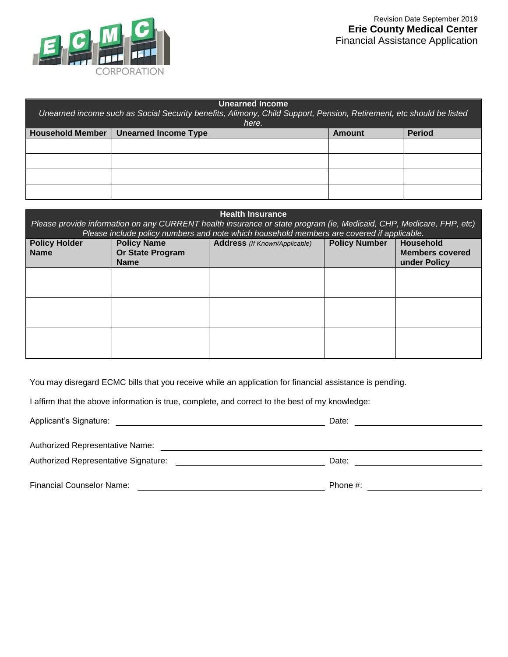

| <b>Unearned Income</b><br>Unearned income such as Social Security benefits, Alimony, Child Support, Pension, Retirement, etc should be listed |                             |               |               |  |
|-----------------------------------------------------------------------------------------------------------------------------------------------|-----------------------------|---------------|---------------|--|
| here.                                                                                                                                         |                             |               |               |  |
| <b>Household Member</b>                                                                                                                       | <b>Unearned Income Type</b> | <b>Amount</b> | <b>Period</b> |  |
|                                                                                                                                               |                             |               |               |  |
|                                                                                                                                               |                             |               |               |  |
|                                                                                                                                               |                             |               |               |  |
|                                                                                                                                               |                             |               |               |  |

| <b>Health Insurance</b><br>Please provide information on any CURRENT health insurance or state program (ie, Medicaid, CHP, Medicare, FHP, etc)<br>Please include policy numbers and note which household members are covered if applicable. |                                                              |                                      |                      |                                                     |
|---------------------------------------------------------------------------------------------------------------------------------------------------------------------------------------------------------------------------------------------|--------------------------------------------------------------|--------------------------------------|----------------------|-----------------------------------------------------|
| <b>Policy Holder</b><br><b>Name</b>                                                                                                                                                                                                         | <b>Policy Name</b><br><b>Or State Program</b><br><b>Name</b> | <b>Address</b> (If Known/Applicable) | <b>Policy Number</b> | Household<br><b>Members covered</b><br>under Policy |
|                                                                                                                                                                                                                                             |                                                              |                                      |                      |                                                     |
|                                                                                                                                                                                                                                             |                                                              |                                      |                      |                                                     |
|                                                                                                                                                                                                                                             |                                                              |                                      |                      |                                                     |

You may disregard ECMC bills that you receive while an application for financial assistance is pending.

I affirm that the above information is true, complete, and correct to the best of my knowledge:

| Applicant's Signature:               | Date:       |
|--------------------------------------|-------------|
| Authorized Representative Name:      |             |
| Authorized Representative Signature: | Date:       |
| <b>Financial Counselor Name:</b>     | Phone $#$ : |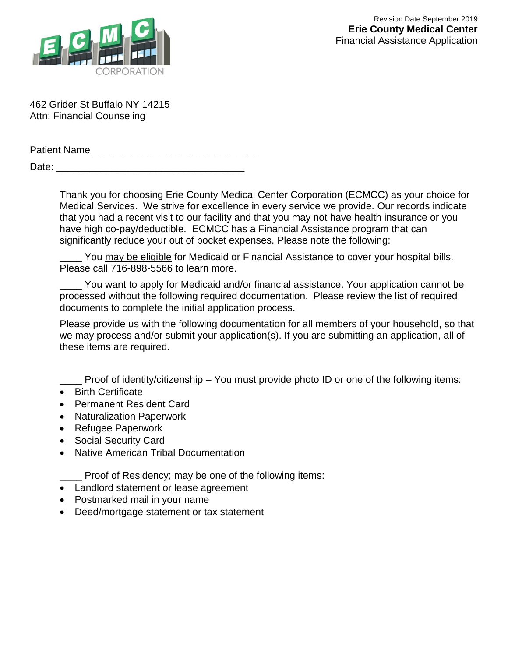

462 Grider St Buffalo NY 14215 Attn: Financial Counseling

Patient Name **Example 20** Date: \_\_\_\_\_\_\_\_\_\_\_\_\_\_\_\_\_\_\_\_\_\_\_\_\_\_\_\_\_\_\_\_\_\_

> Thank you for choosing Erie County Medical Center Corporation (ECMCC) as your choice for Medical Services. We strive for excellence in every service we provide. Our records indicate that you had a recent visit to our facility and that you may not have health insurance or you have high co-pay/deductible. ECMCC has a Financial Assistance program that can significantly reduce your out of pocket expenses. Please note the following:

You may be eligible for Medicaid or Financial Assistance to cover your hospital bills. Please call 716-898-5566 to learn more.

You want to apply for Medicaid and/or financial assistance. Your application cannot be processed without the following required documentation. Please review the list of required documents to complete the initial application process.

Please provide us with the following documentation for all members of your household, so that we may process and/or submit your application(s). If you are submitting an application, all of these items are required.

Proof of identity/citizenship – You must provide photo ID or one of the following items:

- Birth Certificate
- Permanent Resident Card
- Naturalization Paperwork
- Refugee Paperwork
- Social Security Card
- Native American Tribal Documentation

\_\_\_\_ Proof of Residency; may be one of the following items:

- Landlord statement or lease agreement
- Postmarked mail in your name
- Deed/mortgage statement or tax statement